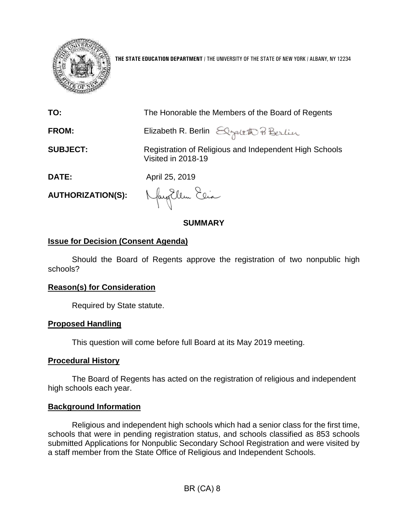

**THE STATE EDUCATION DEPARTMENT** / THE UNIVERSITY OF THE STATE OF NEW YORK / ALBANY, NY 12234

| TO:                      | The Honorable the Members of the Board of Regents                            |
|--------------------------|------------------------------------------------------------------------------|
| <b>FROM:</b>             | Elizabeth R. Berlin Elgaleth Pi Berlin                                       |
| <b>SUBJECT:</b>          | Registration of Religious and Independent High Schools<br>Visited in 2018-19 |
| <b>DATE:</b>             | April 25, 2019                                                               |
| <b>AUTHORIZATION(S):</b> | Nayollem Elia                                                                |

**SUMMARY**

## **Issue for Decision (Consent Agenda)**

Should the Board of Regents approve the registration of two nonpublic high schools?

### **Reason(s) for Consideration**

Required by State statute.

#### **Proposed Handling**

This question will come before full Board at its May 2019 meeting.

### **Procedural History**

The Board of Regents has acted on the registration of religious and independent high schools each year.

## **Background Information**

Religious and independent high schools which had a senior class for the first time, schools that were in pending registration status, and schools classified as 853 schools submitted Applications for Nonpublic Secondary School Registration and were visited by a staff member from the State Office of Religious and Independent Schools.